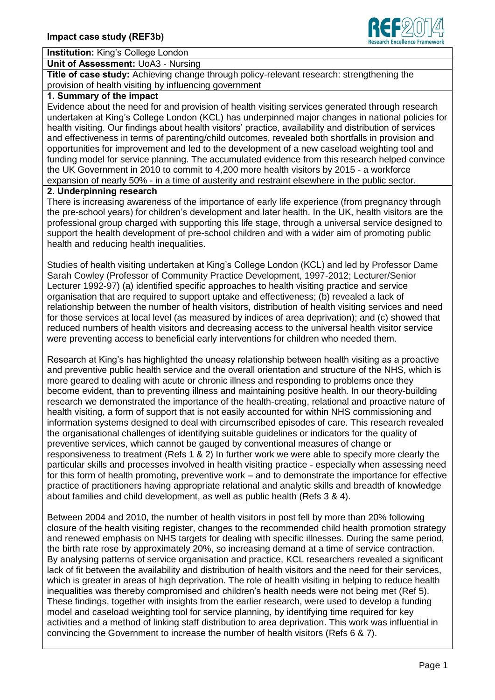

# **Institution:** King's College London

**Unit of Assessment:** UoA3 - Nursing

**Title of case study:** Achieving change through policy-relevant research: strengthening the provision of health visiting by influencing government

#### **1. Summary of the impact**

Evidence about the need for and provision of health visiting services generated through research undertaken at King's College London (KCL) has underpinned major changes in national policies for health visiting. Our findings about health visitors' practice, availability and distribution of services and effectiveness in terms of parenting/child outcomes, revealed both shortfalls in provision and opportunities for improvement and led to the development of a new caseload weighting tool and funding model for service planning. The accumulated evidence from this research helped convince the UK Government in 2010 to commit to 4,200 more health visitors by 2015 - a workforce expansion of nearly 50% - in a time of austerity and restraint elsewhere in the public sector.

#### **2. Underpinning research**

There is increasing awareness of the importance of early life experience (from pregnancy through the pre-school years) for children's development and later health. In the UK, health visitors are the professional group charged with supporting this life stage, through a universal service designed to support the health development of pre-school children and with a wider aim of promoting public health and reducing health inequalities.

Studies of health visiting undertaken at King's College London (KCL) and led by Professor Dame Sarah Cowley (Professor of Community Practice Development, 1997-2012; Lecturer/Senior Lecturer 1992-97) (a) identified specific approaches to health visiting practice and service organisation that are required to support uptake and effectiveness; (b) revealed a lack of relationship between the number of health visitors, distribution of health visiting services and need for those services at local level (as measured by indices of area deprivation); and (c) showed that reduced numbers of health visitors and decreasing access to the universal health visitor service were preventing access to beneficial early interventions for children who needed them.

Research at King's has highlighted the uneasy relationship between health visiting as a proactive and preventive public health service and the overall orientation and structure of the NHS, which is more geared to dealing with acute or chronic illness and responding to problems once they become evident, than to preventing illness and maintaining positive health. In our theory-building research we demonstrated the importance of the health-creating, relational and proactive nature of health visiting, a form of support that is not easily accounted for within NHS commissioning and information systems designed to deal with circumscribed episodes of care. This research revealed the organisational challenges of identifying suitable guidelines or indicators for the quality of preventive services, which cannot be gauged by conventional measures of change or responsiveness to treatment (Refs 1 & 2) In further work we were able to specify more clearly the particular skills and processes involved in health visiting practice - especially when assessing need for this form of health promoting, preventive work – and to demonstrate the importance for effective practice of practitioners having appropriate relational and analytic skills and breadth of knowledge about families and child development, as well as public health (Refs 3 & 4).

Between 2004 and 2010, the number of health visitors in post fell by more than 20% following closure of the health visiting register, changes to the recommended child health promotion strategy and renewed emphasis on NHS targets for dealing with specific illnesses. During the same period, the birth rate rose by approximately 20%, so increasing demand at a time of service contraction. By analysing patterns of service organisation and practice, KCL researchers revealed a significant lack of fit between the availability and distribution of health visitors and the need for their services, which is greater in areas of high deprivation. The role of health visiting in helping to reduce health inequalities was thereby compromised and children's health needs were not being met (Ref 5). These findings, together with insights from the earlier research, were used to develop a funding model and caseload weighting tool for service planning, by identifying time required for key activities and a method of linking staff distribution to area deprivation. This work was influential in convincing the Government to increase the number of health visitors (Refs 6 & 7).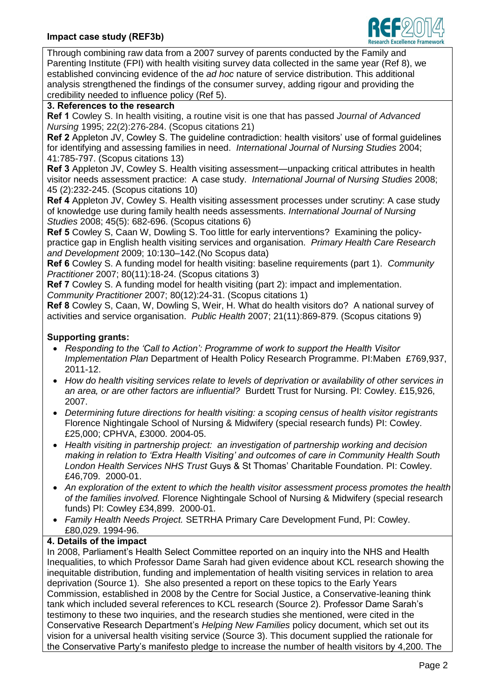

Through combining raw data from a 2007 survey of parents conducted by the Family and Parenting Institute (FPI) with health visiting survey data collected in the same year (Ref 8), we established convincing evidence of the *ad hoc* nature of service distribution. This additional analysis strengthened the findings of the consumer survey, adding rigour and providing the credibility needed to influence policy (Ref 5).

## **3. References to the research**

**Ref 1** Cowley S. In health visiting, a routine visit is one that has passed *Journal of Advanced Nursing* 1995; 22(2):276-284. (Scopus citations 21)

**Ref 2** Appleton JV, Cowley S. The guideline contradiction: health visitors' use of formal guidelines for identifying and assessing families in need. *International Journal of Nursing Studies* 2004; 41:785-797. (Scopus citations 13)

**Ref 3** Appleton JV, Cowley S. Health visiting assessment—unpacking critical attributes in health visitor needs assessment practice: A case study. *International Journal of Nursing Studies* 2008; 45 (2):232-245. (Scopus citations 10)

**Ref 4** Appleton JV, Cowley S. Health visiting assessment processes under scrutiny: A case study of knowledge use during family health needs assessments. *International Journal of Nursing Studies* 2008; 45(5): 682-696. (Scopus citations 6)

**Ref 5** Cowley S, Caan W, Dowling S. Too little for early interventions? Examining the policypractice gap in English health visiting services and organisation. *Primary Health Care Research and Development* 2009; 10:130–142.(No Scopus data)

**Ref 6** Cowley S. A funding model for health visiting: baseline requirements (part 1). *Community Practitioner* 2007; 80(11):18-24. (Scopus citations 3)

**Ref 7** Cowley S. A funding model for health visiting (part 2): impact and implementation. *Community Practitioner* 2007; 80(12):24-31. (Scopus citations 1)

**Ref 8** Cowley S, Caan, W, Dowling S, Weir, H. What do health visitors do? A national survey of activities and service organisation. *Public Health* 2007; 21(11):869-879. (Scopus citations 9)

### **Supporting grants:**

- *Responding to the 'Call to Action': Programme of work to support the Health Visitor Implementation Plan* Department of Health Policy Research Programme. PI:Maben £769,937, 2011-12.
- *How do health visiting services relate to levels of deprivation or availability of other services in an area, or are other factors are influential?* Burdett Trust for Nursing. PI: Cowley. £15,926, 2007.
- *Determining future directions for health visiting: a scoping census of health visitor registrants* Florence Nightingale School of Nursing & Midwifery (special research funds) PI: Cowley. £25,000; CPHVA, £3000. 2004-05.
- *Health visiting in partnership project: an investigation of partnership working and decision making in relation to 'Extra Health Visiting' and outcomes of care in Community Health South London Health Services NHS Trust* Guys & St Thomas' Charitable Foundation. PI: Cowley. £46,709. 2000-01.
- *An exploration of the extent to which the health visitor assessment process promotes the health of the families involved.* Florence Nightingale School of Nursing & Midwifery (special research funds) PI: Cowley £34,899. 2000-01.
- *Family Health Needs Project.* SETRHA Primary Care Development Fund, PI: Cowley. £80,029. 1994-96.

### **4. Details of the impact**

In 2008, Parliament's Health Select Committee reported on an inquiry into the NHS and Health Inequalities, to which Professor Dame Sarah had given evidence about KCL research showing the inequitable distribution, funding and implementation of health visiting services in relation to area deprivation (Source 1). She also presented a report on these topics to the Early Years Commission, established in 2008 by the Centre for Social Justice, a Conservative-leaning think tank which included several references to KCL research (Source 2). Professor Dame Sarah's testimony to these two inquiries, and the research studies she mentioned, were cited in the Conservative Research Department's *Helping New Families* policy document, which set out its vision for a universal health visiting service (Source 3). This document supplied the rationale for the Conservative Party's manifesto pledge to increase the number of health visitors by 4,200. The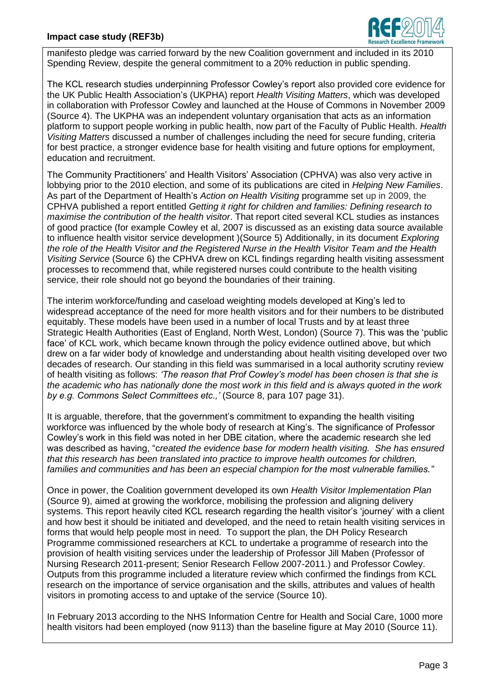### **Impact case study (REF3b)**



manifesto pledge was carried forward by the new Coalition government and included in its 2010 Spending Review, despite the general commitment to a 20% reduction in public spending.

The KCL research studies underpinning Professor Cowley's report also provided core evidence for the UK Public Health Association's (UKPHA) report *Health Visiting Matters*, which was developed in collaboration with Professor Cowley and launched at the House of Commons in November 2009 (Source 4). The UKPHA was an independent voluntary organisation that acts as an information platform to support people working in public health, now part of the Faculty of Public Health. *Health Visiting Matters* discussed a number of challenges including the need for secure funding, criteria for best practice, a stronger evidence base for health visiting and future options for employment, education and recruitment.

The Community Practitioners' and Health Visitors' Association (CPHVA) was also very active in lobbying prior to the 2010 election, and some of its publications are cited in *Helping New Families*. As part of the Department of Health's *Action on Health Visiting* programme set up in 2009, the CPHVA published a report entitled *Getting it right for children and families: Defining research to maximise the contribution of the health visitor*. That report cited several KCL studies as instances of good practice (for example Cowley et al, 2007 is discussed as an existing data source available to influence health visitor service development )(Source 5) Additionally, in its document *Exploring the role of the Health Visitor and the Registered Nurse in the Health Visitor Team and the Health Visiting Service* (Source 6) the CPHVA drew on KCL findings regarding health visiting assessment processes to recommend that, while registered nurses could contribute to the health visiting service, their role should not go beyond the boundaries of their training.

The interim workforce/funding and caseload weighting models developed at King's led to widespread acceptance of the need for more health visitors and for their numbers to be distributed equitably. These models have been used in a number of local Trusts and by at least three Strategic Health Authorities (East of England, North West, London) (Source 7). This was the 'public face' of KCL work, which became known through the policy evidence outlined above, but which drew on a far wider body of knowledge and understanding about health visiting developed over two decades of research. Our standing in this field was summarised in a local authority scrutiny review of health visiting as follows: *'The reason that Prof Cowley's model has been chosen is that she is the academic who has nationally done the most work in this field and is always quoted in the work by e.g. Commons Select Committees etc.,'* (Source 8, para 107 page 31).

It is arguable, therefore, that the government's commitment to expanding the health visiting workforce was influenced by the whole body of research at King's. The significance of Professor Cowley's work in this field was noted in her DBE citation, where the academic research she led was described as having, "c*reated the evidence base for modern health visiting. She has ensured that this research has been translated into practice to improve health outcomes for children, families and communities and has been an especial champion for the most vulnerable families."* 

Once in power, the Coalition government developed its own *Health Visitor Implementation Plan* (Source 9), aimed at growing the workforce, mobilising the profession and aligning delivery systems. This report heavily cited KCL research regarding the health visitor's 'journey' with a client and how best it should be initiated and developed, and the need to retain health visiting services in forms that would help people most in need. To support the plan, the DH Policy Research Programme commissioned researchers at KCL to undertake a programme of research into the provision of health visiting services under the leadership of Professor Jill Maben (Professor of Nursing Research 2011-present; Senior Research Fellow 2007-2011.) and Professor Cowley. Outputs from this programme included a literature review which confirmed the findings from KCL research on the importance of service organisation and the skills, attributes and values of health visitors in promoting access to and uptake of the service (Source 10).

In February 2013 according to the NHS Information Centre for Health and Social Care, 1000 more health visitors had been employed (now 9113) than the baseline figure at May 2010 (Source 11).